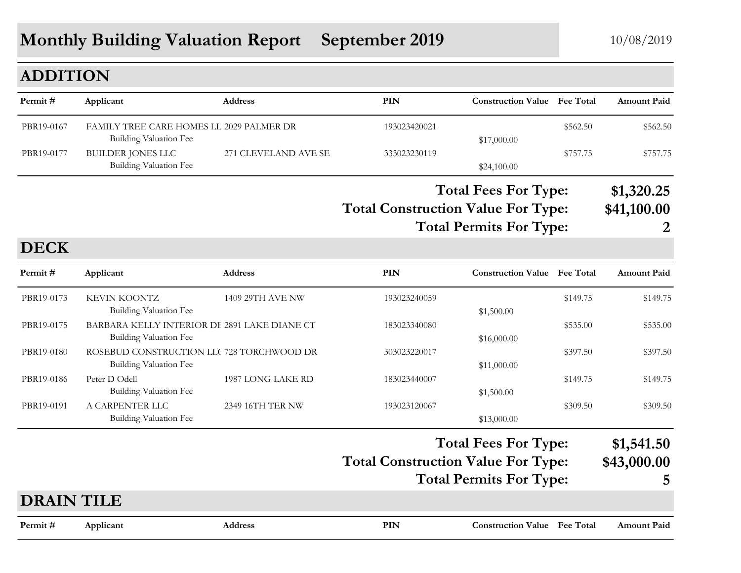# **Monthly Building Valuation Report September 2019** 10/08/2019

#### **ADDITION**

| Permit#    | Applicant                                                          | <b>Address</b>       | PIN          | <b>Construction Value</b> Fee Total                             |          | <b>Amount Paid</b>            |
|------------|--------------------------------------------------------------------|----------------------|--------------|-----------------------------------------------------------------|----------|-------------------------------|
| PBR19-0167 | FAMILY TREE CARE HOMES LL 2029 PALMER DR<br>Building Valuation Fee |                      | 193023420021 | \$17,000.00                                                     | \$562.50 | \$562.50                      |
| PBR19-0177 | BUILDER JONES LLC<br>Building Valuation Fee                        | 271 CLEVELAND AVE SE | 333023230119 | \$24,100.00                                                     | \$757.75 | \$757.75                      |
|            |                                                                    |                      |              | $\mathbf{m}$ . $\mathbf{m}$<br>$\overline{ }$<br>$\blacksquare$ |          | * * * * * * <b>*</b> <i>*</i> |

**Total Construction Value For Type: \$41,100.00 Total Fees For Type: \$1,320.25**

**Total Permits For Type: 2**

#### **PIN Construction Value Permit # Applicant Address Fee Total Amount Paid DECK** PBR19-0173 KEVIN KOONTZ 1409 29TH AVE NW 193023240059 \$149.75 \$149.75 \$149.75 Building Valuation Fee  $$1,500.00$ PBR19-0175 BARBARA KELLY INTERIOR DE 2891 LAKE DIANE CT 183023340080 \$535.00 \$535.00 \$535.00 \$535.00 Building Valuation Fee  $$16,000.00$ PBR19-0180 ROSEBUD CONSTRUCTION LLC 728 TORCHWOOD DR 303023220017 \$397.50 \$397.50 \$397.50 Building Valuation Fee  $$11,000.00$ PBR19-0186 Peter D Odell 1987 LONG LAKE RD 183023440007 \$149.75 \$149.75 \$149.75 Building Valuation Fee  $$1,500.00$ PBR19-0191 A CARPENTER LLC 2349 16TH TER NW 193023120067 \$309.50 \$309.50 \$309.50 Building Valuation Fee \$13,000.00 **Total Construction Value For Type: \$43,000.00 Total Fees For Type: \$1,541.50 Total Permits For Type: 5 PIN Construction Value Permit # Applicant Address Fee Total Amount PaidDRAIN TILE**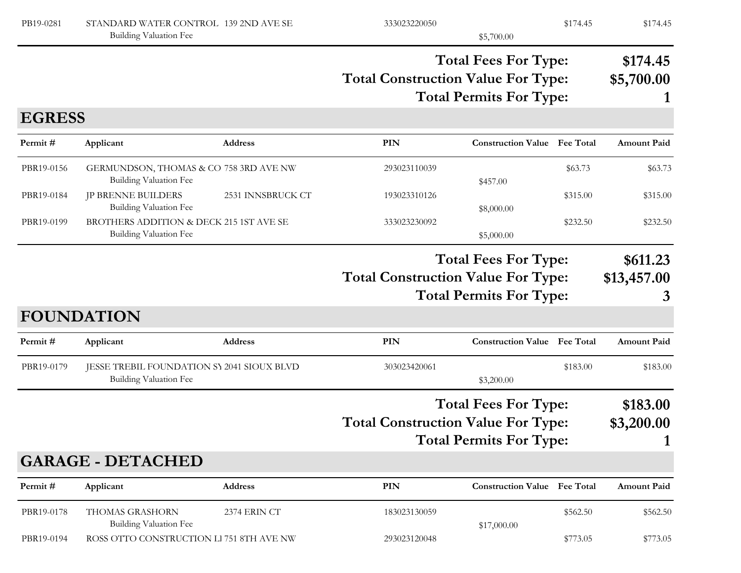| PB19-0281     | STANDARD WATER CONTROL 139 2ND AVE SE<br>Building Valuation Fee      |                   | 333023220050                                                                                               | \$5,700.00                                                    | \$174.45 | \$174.45                     |
|---------------|----------------------------------------------------------------------|-------------------|------------------------------------------------------------------------------------------------------------|---------------------------------------------------------------|----------|------------------------------|
|               |                                                                      |                   | <b>Total Fees For Type:</b><br><b>Total Construction Value For Type:</b><br><b>Total Permits For Type:</b> |                                                               |          | \$174.45<br>\$5,700.00       |
| <b>EGRESS</b> |                                                                      |                   |                                                                                                            |                                                               |          |                              |
| Permit#       | Applicant                                                            | <b>Address</b>    | <b>PIN</b>                                                                                                 | <b>Construction Value</b> Fee Total                           |          | <b>Amount Paid</b>           |
| PBR19-0156    | GERMUNDSON, THOMAS & CO 758 3RD AVE NW<br>Building Valuation Fee     |                   | 293023110039                                                                                               | \$457.00                                                      | \$63.73  | \$63.73                      |
| PBR19-0184    | <b>JP BRENNE BUILDERS</b><br>Building Valuation Fee                  | 2531 INNSBRUCK CT | 193023310126                                                                                               | \$8,000.00                                                    | \$315.00 | \$315.00                     |
| PBR19-0199    | BROTHERS ADDITION & DECK 215 1ST AVE SE<br>Building Valuation Fee    |                   | 333023230092                                                                                               | \$5,000.00                                                    | \$232.50 | \$232.50                     |
|               |                                                                      |                   | <b>Total Construction Value For Type:</b>                                                                  | <b>Total Fees For Type:</b><br><b>Total Permits For Type:</b> |          | \$611.23<br>\$13,457.00<br>3 |
|               | <b>FOUNDATION</b>                                                    |                   |                                                                                                            |                                                               |          |                              |
| Permit#       | Applicant                                                            | <b>Address</b>    | <b>PIN</b>                                                                                                 | <b>Construction Value Fee Total</b>                           |          | <b>Amount Paid</b>           |
| PBR19-0179    | JESSE TREBIL FOUNDATION SY 2041 SIOUX BLVD<br>Building Valuation Fee |                   | 303023420061                                                                                               | \$3,200.00                                                    | \$183.00 | \$183.00                     |
|               |                                                                      |                   | <b>Total Construction Value For Type:</b>                                                                  | <b>Total Fees For Type:</b><br><b>Total Permits For Type:</b> |          | \$183.00<br>\$3,200.00       |
|               | <b>GARAGE - DETACHED</b>                                             |                   |                                                                                                            |                                                               |          |                              |
| Permit#       | Applicant                                                            | Address           | <b>PIN</b>                                                                                                 | <b>Construction Value Fee Total</b>                           |          | <b>Amount Paid</b>           |
| PBR19-0178    | THOMAS GRASHORN<br>Building Valuation Fee                            | 2374 ERIN CT      | 183023130059                                                                                               | \$17,000.00                                                   | \$562.50 | \$562.50                     |
|               |                                                                      |                   |                                                                                                            |                                                               |          |                              |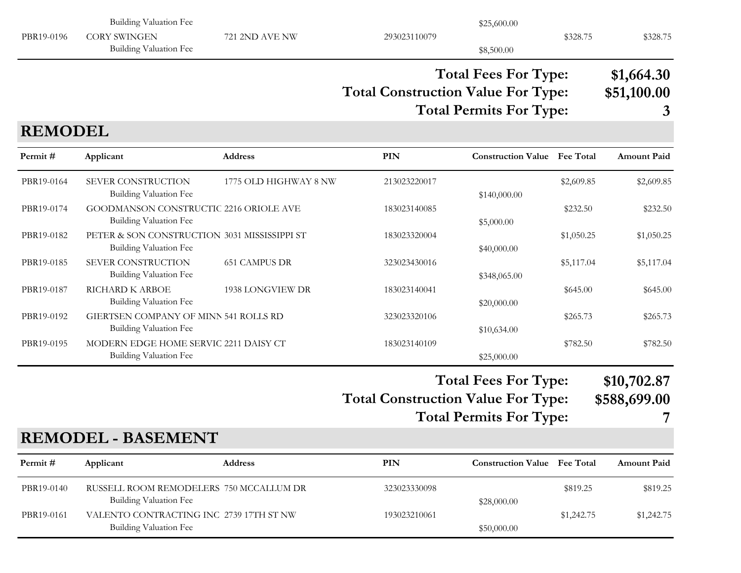|                | <b>Building Valuation Fee</b>                                                 |                       |                                           | \$25,600.00                                                   |            |                                |
|----------------|-------------------------------------------------------------------------------|-----------------------|-------------------------------------------|---------------------------------------------------------------|------------|--------------------------------|
| PBR19-0196     | <b>CORY SWINGEN</b><br><b>Building Valuation Fee</b>                          | 721 2ND AVE NW        | 293023110079                              | \$8,500.00                                                    | \$328.75   | \$328.75                       |
|                |                                                                               |                       | <b>Total Construction Value For Type:</b> | <b>Total Fees For Type:</b><br><b>Total Permits For Type:</b> |            | \$1,664.30<br>\$51,100.00<br>3 |
| <b>REMODEL</b> |                                                                               |                       |                                           |                                                               |            |                                |
| Permit#        | Applicant                                                                     | Address               | <b>PIN</b>                                | <b>Construction Value</b> Fee Total                           |            | <b>Amount Paid</b>             |
| PBR19-0164     | SEVER CONSTRUCTION<br><b>Building Valuation Fee</b>                           | 1775 OLD HIGHWAY 8 NW | 213023220017                              | \$140,000.00                                                  | \$2,609.85 | \$2,609.85                     |
| PBR19-0174     | GOODMANSON CONSTRUCTIC 2216 ORIOLE AVE<br>Building Valuation Fee              |                       | 183023140085                              | \$5,000.00                                                    | \$232.50   | \$232.50                       |
| PBR19-0182     | PETER & SON CONSTRUCTION 3031 MISSISSIPPI ST<br><b>Building Valuation Fee</b> |                       | 183023320004                              | \$40,000.00                                                   | \$1,050.25 | \$1,050.25                     |
| PBR19-0185     | SEVER CONSTRUCTION<br>Building Valuation Fee                                  | <b>651 CAMPUS DR</b>  | 323023430016                              | \$348,065.00                                                  | \$5,117.04 | \$5,117.04                     |
| PBR19-0187     | RICHARD K ARBOE<br><b>Building Valuation Fee</b>                              | 1938 LONGVIEW DR      | 183023140041                              | \$20,000.00                                                   | \$645.00   | \$645.00                       |
| PBR19-0192     | GIERTSEN COMPANY OF MINN 541 ROLLS RD<br><b>Building Valuation Fee</b>        |                       | 323023320106                              | \$10,634.00                                                   | \$265.73   | \$265.73                       |
| PBR19-0195     | MODERN EDGE HOME SERVIC 2211 DAISY CT<br><b>Building Valuation Fee</b>        |                       | 183023140109                              | \$25,000.00                                                   | \$782.50   | \$782.50                       |
|                |                                                                               |                       | <b>Total Construction Value For Type:</b> | <b>Total Fees For Type:</b>                                   |            | \$10,702.87<br>\$588,699.00    |
|                |                                                                               |                       |                                           | <b>Total Permits For Type:</b>                                |            |                                |
|                | <b>REMODEL - BASEMENT</b>                                                     |                       |                                           |                                                               |            |                                |
| Permit#        | Applicant                                                                     | Address               | <b>PIN</b>                                | <b>Construction Value Fee Total</b>                           |            | Amount Paid                    |
| PBR19-0140     | RUSSELL ROOM REMODELERS 750 MCCALLUM DR<br><b>Building Valuation Fee</b>      |                       | 323023330098                              | \$28,000.00                                                   | \$819.25   | \$819.25                       |
| PBR19-0161     | VALENTO CONTRACTING INC 2739 17TH ST NW<br><b>Building Valuation Fee</b>      |                       | 193023210061                              | \$50,000.00                                                   | \$1,242.75 | \$1,242.75                     |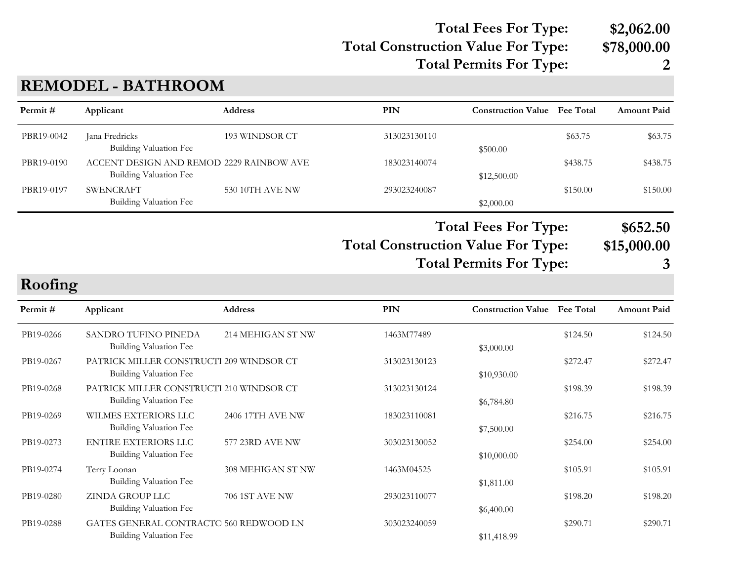### **Total Construction Value For Type: \$78,000.00 Total Fees For Type: \$2,062.00 Total Permits For Type: 2**

## **REMODEL - BATHROOM**

| PBR19-0042 | Jana Fredricks                                                   | 193 WINDSOR CT        | 313023130110                              |                                     | \$63.75  | \$63.75            |
|------------|------------------------------------------------------------------|-----------------------|-------------------------------------------|-------------------------------------|----------|--------------------|
|            | Building Valuation Fee                                           |                       |                                           | \$500.00                            |          |                    |
| PBR19-0190 | ACCENT DESIGN AND REMOD 2229 RAINBOW AVE                         |                       | 183023140074                              |                                     | \$438.75 | \$438.75           |
|            | Building Valuation Fee                                           |                       |                                           | \$12,500.00                         |          |                    |
| PBR19-0197 | <b>SWENCRAFT</b>                                                 | 530 10TH AVE NW       | 293023240087                              |                                     | \$150.00 | \$150.00           |
|            | Building Valuation Fee                                           |                       |                                           | \$2,000.00                          |          |                    |
|            |                                                                  |                       |                                           | <b>Total Fees For Type:</b>         |          | \$652.50           |
|            |                                                                  |                       | <b>Total Construction Value For Type:</b> |                                     |          | \$15,000.00        |
|            |                                                                  |                       |                                           |                                     |          |                    |
|            |                                                                  |                       |                                           | <b>Total Permits For Type:</b>      |          | 3                  |
| Roofing    |                                                                  |                       |                                           |                                     |          |                    |
| Permit#    | Applicant                                                        | <b>Address</b>        | <b>PIN</b>                                | <b>Construction Value</b> Fee Total |          | <b>Amount Paid</b> |
| PB19-0266  | SANDRO TUFINO PINEDA                                             | 214 MEHIGAN ST NW     | 1463M77489                                |                                     | \$124.50 | \$124.50           |
|            | Building Valuation Fee                                           |                       |                                           | \$3,000.00                          |          |                    |
| PB19-0267  | PATRICK MILLER CONSTRUCTI 209 WINDSOR CT                         |                       | 313023130123                              |                                     | \$272.47 | \$272.47           |
|            | Building Valuation Fee                                           |                       |                                           | \$10,930.00                         |          |                    |
| PB19-0268  | PATRICK MILLER CONSTRUCTI 210 WINDSOR CT                         |                       | 313023130124                              |                                     | \$198.39 | \$198.39           |
|            | Building Valuation Fee                                           |                       |                                           | \$6,784.80                          |          |                    |
| PB19-0269  | WILMES EXTERIORS LLC                                             | 2406 17TH AVE NW      | 183023110081                              |                                     | \$216.75 | \$216.75           |
|            | Building Valuation Fee                                           |                       |                                           | \$7,500.00                          |          |                    |
| PB19-0273  | <b>ENTIRE EXTERIORS LLC</b>                                      | 577 23RD AVE NW       | 303023130052                              |                                     | \$254.00 | \$254.00           |
|            | Building Valuation Fee                                           |                       |                                           | \$10,000.00                         |          |                    |
| PB19-0274  | Terry Loonan                                                     | 308 MEHIGAN ST NW     | 1463M04525                                |                                     | \$105.91 | \$105.91           |
|            | Building Valuation Fee                                           |                       |                                           | \$1,811.00                          |          |                    |
| PB19-0280  | <b>ZINDA GROUP LLC</b>                                           | <b>706 1ST AVE NW</b> | 293023110077                              |                                     | \$198.20 | \$198.20           |
|            | Building Valuation Fee                                           |                       |                                           | \$6,400.00                          |          |                    |
|            |                                                                  |                       |                                           |                                     |          |                    |
| PB19-0288  | GATES GENERAL CONTRACTO 560 REDWOOD LN<br>Building Valuation Fee |                       | 303023240059                              |                                     | \$290.71 | \$290.71           |
|            |                                                                  |                       |                                           | \$11,418.99                         |          |                    |

**PIN Construction Value Permit # Applicant Address Fee Total Amount Paid**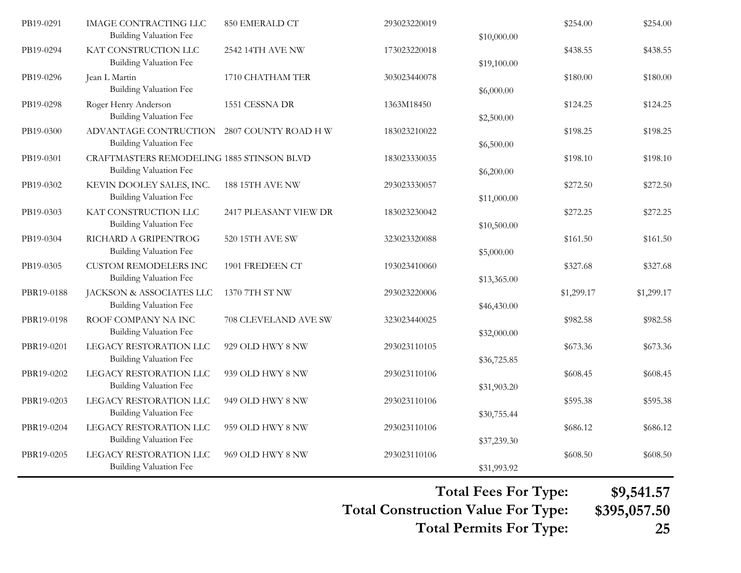| PB19-0291  | <b>IMAGE CONTRACTING LLC</b><br><b>Building Valuation Fee</b>              | 850 EMERALD CT         | 293023220019 | \$10,000.00 | \$254.00   | \$254.00   |
|------------|----------------------------------------------------------------------------|------------------------|--------------|-------------|------------|------------|
| PB19-0294  | KAT CONSTRUCTION LLC<br><b>Building Valuation Fee</b>                      | 2542 14TH AVE NW       | 173023220018 | \$19,100.00 | \$438.55   | \$438.55   |
| PB19-0296  | Jean L Martin<br><b>Building Valuation Fee</b>                             | 1710 CHATHAM TER       | 303023440078 | \$6,000.00  | \$180.00   | \$180.00   |
| PB19-0298  | Roger Henry Anderson<br><b>Building Valuation Fee</b>                      | 1551 CESSNA DR         | 1363M18450   | \$2,500.00  | \$124.25   | \$124.25   |
| PB19-0300  | ADVANTAGE CONTRUCTION<br><b>Building Valuation Fee</b>                     | 2807 COUNTY ROAD H W   | 183023210022 | \$6,500.00  | \$198.25   | \$198.25   |
| PB19-0301  | CRAFTMASTERS REMODELING 1885 STINSON BLVD<br><b>Building Valuation Fee</b> |                        | 183023330035 | \$6,200.00  | \$198.10   | \$198.10   |
| PB19-0302  | KEVIN DOOLEY SALES, INC.<br><b>Building Valuation Fee</b>                  | <b>188 15TH AVE NW</b> | 293023330057 | \$11,000.00 | \$272.50   | \$272.50   |
| PB19-0303  | KAT CONSTRUCTION LLC<br><b>Building Valuation Fee</b>                      | 2417 PLEASANT VIEW DR  | 183023230042 | \$10,500.00 | \$272.25   | \$272.25   |
| PB19-0304  | RICHARD A GRIPENTROG<br><b>Building Valuation Fee</b>                      | 520 15TH AVE SW        | 323023320088 | \$5,000.00  | \$161.50   | \$161.50   |
| PB19-0305  | <b>CUSTOM REMODELERS INC</b><br><b>Building Valuation Fee</b>              | 1901 FREDEEN CT        | 193023410060 | \$13,365.00 | \$327.68   | \$327.68   |
| PBR19-0188 | JACKSON & ASSOCIATES LLC<br><b>Building Valuation Fee</b>                  | 1370 7TH ST NW         | 293023220006 | \$46,430.00 | \$1,299.17 | \$1,299.17 |
| PBR19-0198 | ROOF COMPANY NA INC<br><b>Building Valuation Fee</b>                       | 708 CLEVELAND AVE SW   | 323023440025 | \$32,000.00 | \$982.58   | \$982.58   |
| PBR19-0201 | LEGACY RESTORATION LLC<br><b>Building Valuation Fee</b>                    | 929 OLD HWY 8 NW       | 293023110105 | \$36,725.85 | \$673.36   | \$673.36   |
| PBR19-0202 | LEGACY RESTORATION LLC<br><b>Building Valuation Fee</b>                    | 939 OLD HWY 8 NW       | 293023110106 | \$31,903.20 | \$608.45   | \$608.45   |
| PBR19-0203 | LEGACY RESTORATION LLC<br><b>Building Valuation Fee</b>                    | 949 OLD HWY 8 NW       | 293023110106 | \$30,755.44 | \$595.38   | \$595.38   |
| PBR19-0204 | LEGACY RESTORATION LLC<br><b>Building Valuation Fee</b>                    | 959 OLD HWY 8 NW       | 293023110106 | \$37,239.30 | \$686.12   | \$686.12   |
| PBR19-0205 | LEGACY RESTORATION LLC<br><b>Building Valuation Fee</b>                    | 969 OLD HWY 8 NW       | 293023110106 | \$31,993.92 | \$608.50   | \$608.50   |

**Total Fees For Type: \$9,541.57**

**Total Construction Value For Type: \$395,057.50**

**Total Permits For Type: 25**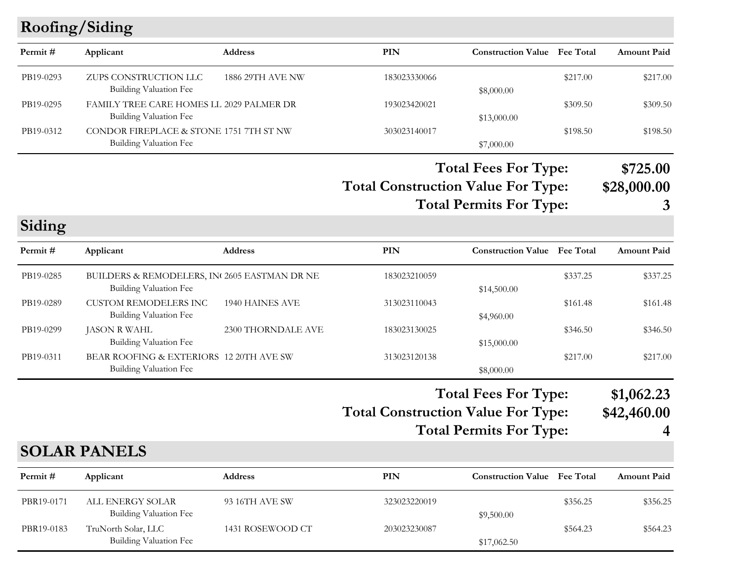# **Roofing/Siding**

| Permit #  | Applicant                                                                 | <b>Address</b>          | PIN          | <b>Construction Value</b> Fee Total |          | <b>Amount Paid</b> |
|-----------|---------------------------------------------------------------------------|-------------------------|--------------|-------------------------------------|----------|--------------------|
| PB19-0293 | ZUPS CONSTRUCTION LLC<br>Building Valuation Fee                           | <b>1886 29TH AVE NW</b> | 183023330066 | \$8,000.00                          | \$217.00 | \$217.00           |
| PB19-0295 | FAMILY TREE CARE HOMES LL 2029 PALMER DR<br><b>Building Valuation Fee</b> |                         | 193023420021 | \$13,000.00                         | \$309.50 | \$309.50           |
| PB19-0312 | CONDOR FIREPLACE & STONE 1751 7TH ST NW<br>Building Valuation Fee         |                         | 303023140017 | \$7,000.00                          | \$198.50 | \$198.50           |

**Total Construction Value For Type: \$28,000.00 Total Fees For Type: \$725.00 Total Permits For Type: 3**

**Siding**

| Permit #  | Applicant                                                              | <b>Address</b>     | <b>PIN</b>   | <b>Construction Value</b> Fee Total |          | <b>Amount Paid</b> |
|-----------|------------------------------------------------------------------------|--------------------|--------------|-------------------------------------|----------|--------------------|
| PB19-0285 | BUILDERS & REMODELERS, IN 2605 EASTMAN DR NE<br>Building Valuation Fee |                    | 183023210059 | \$14,500.00                         | \$337.25 | \$337.25           |
| PB19-0289 | CUSTOM REMODELERS INC<br>Building Valuation Fee                        | 1940 HAINES AVE    | 313023110043 | \$4,960.00                          | \$161.48 | \$161.48           |
| PB19-0299 | JASON R WAHL<br>Building Valuation Fee                                 | 2300 THORNDALE AVE | 183023130025 | \$15,000.00                         | \$346.50 | \$346.50           |
| PB19-0311 | BEAR ROOFING & EXTERIORS 12 20TH AVE SW<br>Building Valuation Fee      |                    | 313023120138 | \$8,000.00                          | \$217.00 | \$217.00           |

### **Total Construction Value For Type: \$42,460.00 Total Fees For Type: \$1,062.23**

**Total Permits For Type: 4**

## **SOLAR PANELS**

| Permit#    | Applicant                                     | <b>Address</b>   | PIN          | <b>Construction Value</b> Fee Total |          | <b>Amount Paid</b> |
|------------|-----------------------------------------------|------------------|--------------|-------------------------------------|----------|--------------------|
| PBR19-0171 | ALL ENERGY SOLAR<br>Building Valuation Fee    | 93 16TH AVE SW   | 323023220019 | \$9,500.00                          | \$356.25 | \$356.25           |
| PBR19-0183 | TruNorth Solar, LLC<br>Building Valuation Fee | 1431 ROSEWOOD CT | 203023230087 | \$17,062.50                         | \$564.23 | \$564.23           |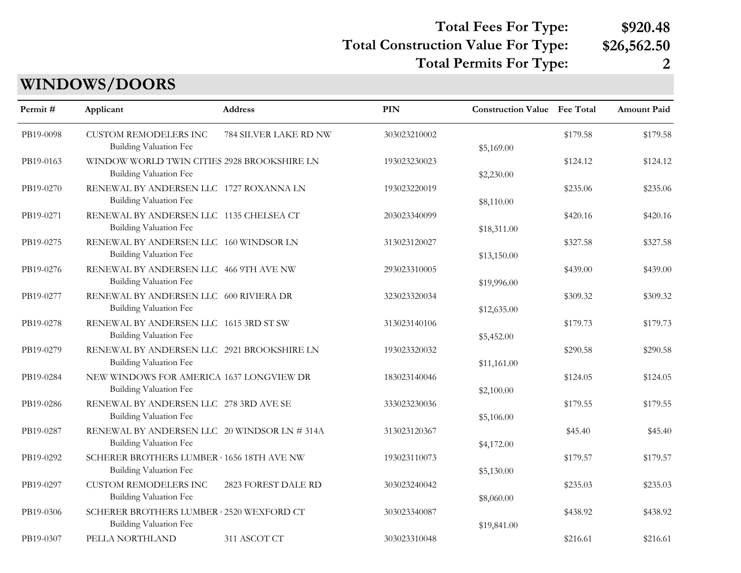# **Total Fees For Type: \$920.48**

### **Total Construction Value For Type: \$26,562.50**

**Total Permits For Type: 2**

# **WINDOWS/DOORS**

| Permit#   | Applicant                                                                | Address               | <b>PIN</b>   | <b>Construction Value</b> Fee Total |          | Amount Paid |
|-----------|--------------------------------------------------------------------------|-----------------------|--------------|-------------------------------------|----------|-------------|
| PB19-0098 | <b>CUSTOM REMODELERS INC</b><br>Building Valuation Fee                   | 784 SILVER LAKE RD NW | 303023210002 | \$5,169.00                          | \$179.58 | \$179.58    |
| PB19-0163 | WINDOW WORLD TWIN CITIES 2928 BROOKSHIRE LN<br>Building Valuation Fee    |                       | 193023230023 | \$2,230.00                          | \$124.12 | \$124.12    |
| PB19-0270 | RENEWAL BY ANDERSEN LLC 1727 ROXANNA LN<br><b>Building Valuation Fee</b> |                       | 193023220019 | \$8,110.00                          | \$235.06 | \$235.06    |
| PB19-0271 | RENEWAL BY ANDERSEN LLC 1135 CHELSEA CT<br>Building Valuation Fee        |                       | 203023340099 | \$18,311.00                         | \$420.16 | \$420.16    |
| PB19-0275 | RENEWAL BY ANDERSEN LLC 160 WINDSOR LN<br>Building Valuation Fee         |                       | 313023120027 | \$13,150.00                         | \$327.58 | \$327.58    |
| PB19-0276 | RENEWAL BY ANDERSEN LLC 466 9TH AVE NW<br>Building Valuation Fee         |                       | 293023310005 | \$19,996.00                         | \$439.00 | \$439.00    |
| PB19-0277 | RENEWAL BY ANDERSEN LLC 600 RIVIERA DR<br>Building Valuation Fee         |                       | 323023320034 | \$12,635.00                         | \$309.32 | \$309.32    |
| PB19-0278 | RENEWAL BY ANDERSEN LLC 1615 3RD ST SW<br><b>Building Valuation Fee</b>  |                       | 313023140106 | \$5,452.00                          | \$179.73 | \$179.73    |
| PB19-0279 | RENEWAL BY ANDERSEN LLC 2921 BROOKSHIRE LN<br>Building Valuation Fee     |                       | 193023320032 | \$11,161.00                         | \$290.58 | \$290.58    |
| PB19-0284 | NEW WINDOWS FOR AMERICA 1637 LONGVIEW DR<br>Building Valuation Fee       |                       | 183023140046 | \$2,100.00                          | \$124.05 | \$124.05    |
| PB19-0286 | RENEWAL BY ANDERSEN LLC 278 3RD AVE SE<br>Building Valuation Fee         |                       | 333023230036 | \$5,106.00                          | \$179.55 | \$179.55    |
| PB19-0287 | RENEWAL BY ANDERSEN LLC 20 WINDSOR LN # 314A<br>Building Valuation Fee   |                       | 313023120367 | \$4,172.00                          | \$45.40  | \$45.40     |
| PB19-0292 | SCHERER BROTHERS LUMBER 1656 18TH AVE NW<br>Building Valuation Fee       |                       | 193023110073 | \$5,130.00                          | \$179.57 | \$179.57    |
| PB19-0297 | <b>CUSTOM REMODELERS INC</b><br>Building Valuation Fee                   | 2823 FOREST DALE RD   | 303023240042 | \$8,060.00                          | \$235.03 | \$235.03    |
| PB19-0306 | SCHERER BROTHERS LUMBER 2520 WEXFORD CT<br><b>Building Valuation Fee</b> |                       | 303023340087 | \$19,841.00                         | \$438.92 | \$438.92    |
| PB19-0307 | PELLA NORTHLAND                                                          | 311 ASCOT CT          | 303023310048 |                                     | \$216.61 | \$216.61    |